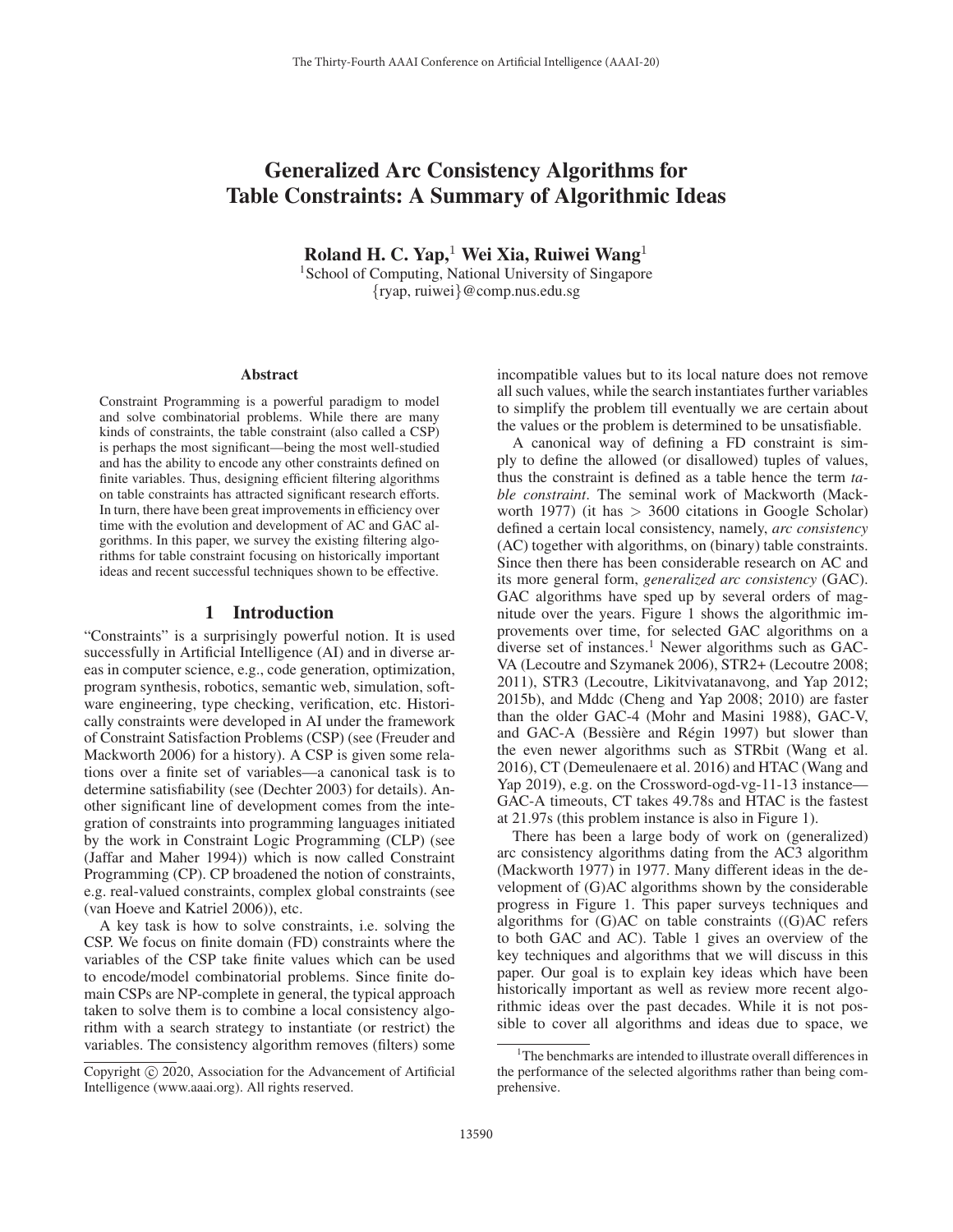# Generalized Arc Consistency Algorithms for Table Constraints: A Summary of Algorithmic Ideas

Roland H. C. Yap,<sup>1</sup> Wei Xia, Ruiwei Wang<sup>1</sup>

<sup>1</sup>School of Computing, National University of Singapore {ryap, ruiwei}@comp.nus.edu.sg

#### Abstract

Constraint Programming is a powerful paradigm to model and solve combinatorial problems. While there are many kinds of constraints, the table constraint (also called a CSP) is perhaps the most significant—being the most well-studied and has the ability to encode any other constraints defined on finite variables. Thus, designing efficient filtering algorithms on table constraints has attracted significant research efforts. In turn, there have been great improvements in efficiency over time with the evolution and development of AC and GAC algorithms. In this paper, we survey the existing filtering algorithms for table constraint focusing on historically important ideas and recent successful techniques shown to be effective.

#### 1 Introduction

"Constraints" is a surprisingly powerful notion. It is used successfully in Artificial Intelligence (AI) and in diverse areas in computer science, e.g., code generation, optimization, program synthesis, robotics, semantic web, simulation, software engineering, type checking, verification, etc. Historically constraints were developed in AI under the framework of Constraint Satisfaction Problems (CSP) (see (Freuder and Mackworth 2006) for a history). A CSP is given some relations over a finite set of variables—a canonical task is to determine satisfiability (see (Dechter 2003) for details). Another significant line of development comes from the integration of constraints into programming languages initiated by the work in Constraint Logic Programming (CLP) (see (Jaffar and Maher 1994)) which is now called Constraint Programming (CP). CP broadened the notion of constraints, e.g. real-valued constraints, complex global constraints (see (van Hoeve and Katriel 2006)), etc.

A key task is how to solve constraints, i.e. solving the CSP. We focus on finite domain (FD) constraints where the variables of the CSP take finite values which can be used to encode/model combinatorial problems. Since finite domain CSPs are NP-complete in general, the typical approach taken to solve them is to combine a local consistency algorithm with a search strategy to instantiate (or restrict) the variables. The consistency algorithm removes (filters) some

incompatible values but to its local nature does not remove all such values, while the search instantiates further variables to simplify the problem till eventually we are certain about the values or the problem is determined to be unsatisfiable.

A canonical way of defining a FD constraint is simply to define the allowed (or disallowed) tuples of values, thus the constraint is defined as a table hence the term *table constraint*. The seminal work of Mackworth (Mackworth 1977) (it has  $> 3600$  citations in Google Scholar) defined a certain local consistency, namely, *arc consistency* (AC) together with algorithms, on (binary) table constraints. Since then there has been considerable research on AC and its more general form, *generalized arc consistency* (GAC). GAC algorithms have sped up by several orders of magnitude over the years. Figure 1 shows the algorithmic improvements over time, for selected GAC algorithms on a diverse set of instances.<sup>1</sup> Newer algorithms such as GAC-VA (Lecoutre and Szymanek 2006), STR2+ (Lecoutre 2008; 2011), STR3 (Lecoutre, Likitvivatanavong, and Yap 2012; 2015b), and Mddc (Cheng and Yap 2008; 2010) are faster than the older GAC-4 (Mohr and Masini 1988), GAC-V, and GAC-A (Bessière and Régin 1997) but slower than the even newer algorithms such as STRbit (Wang et al. 2016), CT (Demeulenaere et al. 2016) and HTAC (Wang and Yap 2019), e.g. on the Crossword-ogd-vg-11-13 instance— GAC-A timeouts, CT takes 49.78s and HTAC is the fastest at 21.97s (this problem instance is also in Figure 1).

There has been a large body of work on (generalized) arc consistency algorithms dating from the AC3 algorithm (Mackworth 1977) in 1977. Many different ideas in the development of (G)AC algorithms shown by the considerable progress in Figure 1. This paper surveys techniques and algorithms for (G)AC on table constraints ((G)AC refers to both GAC and AC). Table 1 gives an overview of the key techniques and algorithms that we will discuss in this paper. Our goal is to explain key ideas which have been historically important as well as review more recent algorithmic ideas over the past decades. While it is not possible to cover all algorithms and ideas due to space, we

Copyright  $\odot$  2020, Association for the Advancement of Artificial Intelligence (www.aaai.org). All rights reserved.

<sup>&</sup>lt;sup>1</sup>The benchmarks are intended to illustrate overall differences in the performance of the selected algorithms rather than being comprehensive.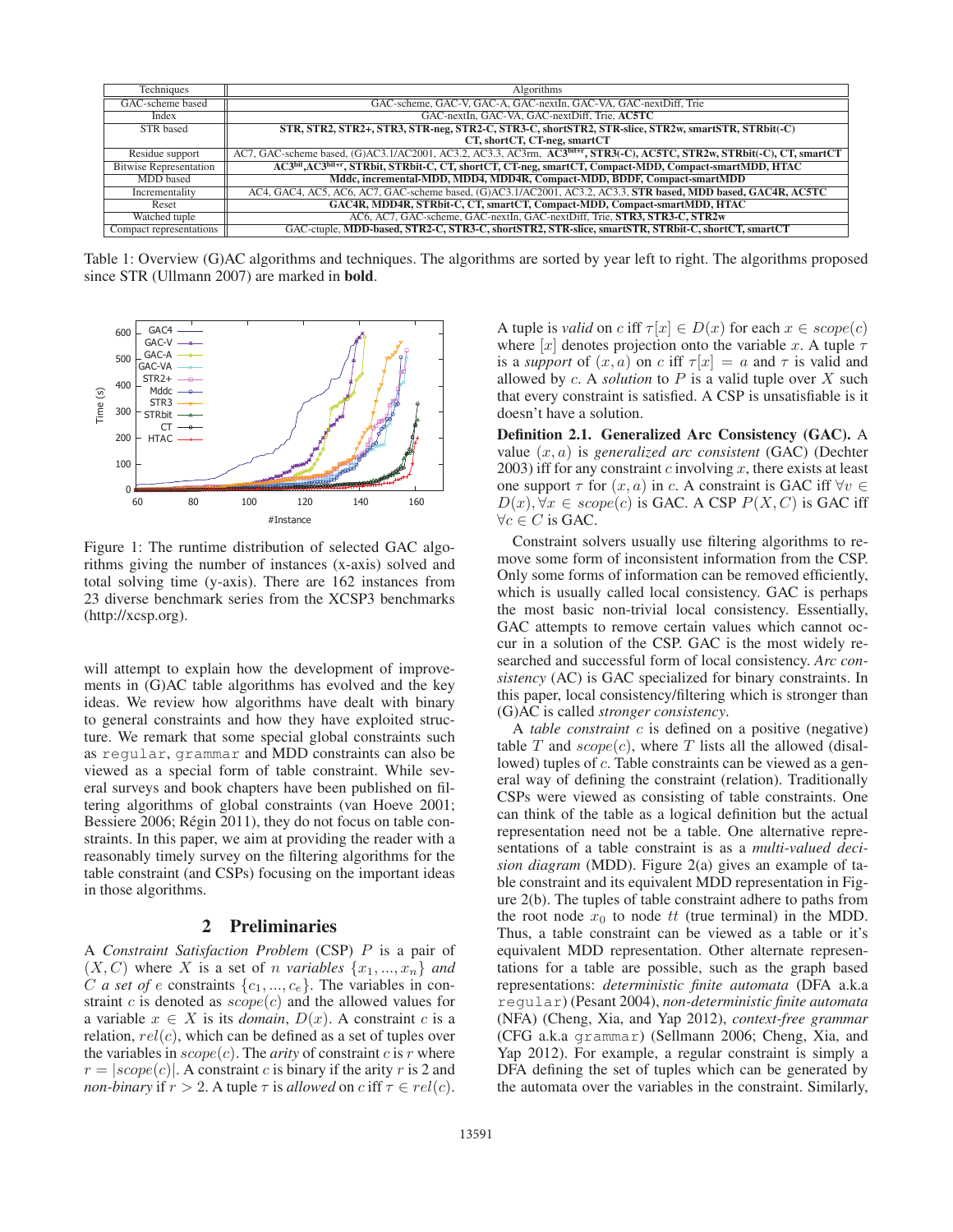| <b>Techniques</b>             | Algorithms                                                                                                                          |
|-------------------------------|-------------------------------------------------------------------------------------------------------------------------------------|
| GAC-scheme based              | GAC-scheme, GAC-V, GAC-A, GAC-nextIn, GAC-VA, GAC-nextDiff, Trie                                                                    |
| Index                         | GAC-nextIn, GAC-VA, GAC-nextDiff, Trie, AC5TC                                                                                       |
| <b>STR</b> based              | STR, STR2, STR2+, STR3, STR-neg, STR2-C, STR3-C, shortSTR2, STR-slice, STR2w, smartSTR, STRbit(-C)                                  |
|                               | CT, shortCT, CT-neg, smartCT                                                                                                        |
| Residue support               | AC7, GAC-scheme based, (G)AC3.1/AC2001, AC3.2, AC3.3, AC3rm, AC3 <sup>bit+r</sup> , STR3(-C), AC5TC, STR2w, STRbit(-C), CT, smartCT |
| <b>Bitwise Representation</b> | AC3bit, AC3bit+r, STRbit, STRbit-C, CT, shortCT, CT-neg, smartCT, Compact-MDD, Compact-smartMDD, HTAC                               |
| MDD based                     | Mddc, incremental-MDD, MDD4, MDD4R, Compact-MDD, BDDF, Compact-smartMDD                                                             |
| Incrementality                | AC4, GAC4, AC5, AC6, AC7, GAC-scheme based, (G)AC3.1/AC2001, AC3.2, AC3.3, STR based, MDD based, GAC4R, AC5TC                       |
| Reset                         | GAC4R, MDD4R, STRbit-C, CT, smartCT, Compact-MDD, Compact-smartMDD, HTAC                                                            |
| Watched tuple                 | AC6, AC7, GAC-scheme, GAC-nextIn, GAC-nextDiff, Trie, STR3, STR3-C, STR2w                                                           |
| Compact representations       | GAC-ctuple, MDD-based, STR2-C, STR3-C, shortSTR2, STR-slice, smartSTR, STRbit-C, shortCT, smartCT                                   |

Table 1: Overview (G)AC algorithms and techniques. The algorithms are sorted by year left to right. The algorithms proposed since STR (Ullmann 2007) are marked in bold.



Figure 1: The runtime distribution of selected GAC algorithms giving the number of instances (x-axis) solved and total solving time (y-axis). There are 162 instances from 23 diverse benchmark series from the XCSP3 benchmarks (http://xcsp.org).

will attempt to explain how the development of improvements in (G)AC table algorithms has evolved and the key ideas. We review how algorithms have dealt with binary to general constraints and how they have exploited structure. We remark that some special global constraints such as regular, grammar and MDD constraints can also be viewed as a special form of table constraint. While several surveys and book chapters have been published on filtering algorithms of global constraints (van Hoeve 2001; Bessiere 2006; Régin 2011), they do not focus on table constraints. In this paper, we aim at providing the reader with a reasonably timely survey on the filtering algorithms for the table constraint (and CSPs) focusing on the important ideas in those algorithms.

# 2 Preliminaries

A *Constraint Satisfaction Problem* (CSP) P is a pair of  $(X, C)$  where X is a set of *n variables*  $\{x_1, ..., x_n\}$  *and* C *a set of e* constraints  $\{c_1, ..., c_e\}$ . The variables in constraint  $c$  is denoted as  $scope(c)$  and the allowed values for a variable  $x \in X$  is its *domain*,  $D(x)$ . A constraint c is a relation,  $rel(c)$ , which can be defined as a set of tuples over the variables in  $scope(c)$ . The *arity* of constraint c is r where  $r = |scope(c)|$ . A constraint c is binary if the arity r is 2 and *non-binary* if  $r > 2$ . A tuple  $\tau$  is *allowed* on c iff  $\tau \in rel(c)$ .

A tuple is *valid* on c iff  $\tau[x] \in D(x)$  for each  $x \in scope(c)$ where [x] denotes projection onto the variable x. A tuple  $\tau$ is a *support* of  $(x, a)$  on c iff  $\tau[x] = a$  and  $\tau$  is valid and allowed by  $c$ . A *solution* to  $P$  is a valid tuple over  $X$  such that every constraint is satisfied. A CSP is unsatisfiable is it doesn't have a solution.

Definition 2.1. Generalized Arc Consistency (GAC). A value (x, a) is *generalized arc consistent* (GAC) (Dechter 2003) iff for any constraint  $c$  involving  $x$ , there exists at least one support  $\tau$  for  $(x, a)$  in c. A constraint is GAC iff  $\forall v \in$  $D(x), \forall x \in scope(c)$  is GAC. A CSP  $P(X, C)$  is GAC iff  $\forall c \in C$  is GAC.

Constraint solvers usually use filtering algorithms to remove some form of inconsistent information from the CSP. Only some forms of information can be removed efficiently, which is usually called local consistency. GAC is perhaps the most basic non-trivial local consistency. Essentially, GAC attempts to remove certain values which cannot occur in a solution of the CSP. GAC is the most widely researched and successful form of local consistency. *Arc consistency* (AC) is GAC specialized for binary constraints. In this paper, local consistency/filtering which is stronger than (G)AC is called *stronger consistency*.

A *table constraint* c is defined on a positive (negative) table T and  $scope(c)$ , where T lists all the allowed (disallowed) tuples of c. Table constraints can be viewed as a general way of defining the constraint (relation). Traditionally CSPs were viewed as consisting of table constraints. One can think of the table as a logical definition but the actual representation need not be a table. One alternative representations of a table constraint is as a *multi-valued decision diagram* (MDD). Figure 2(a) gives an example of table constraint and its equivalent MDD representation in Figure 2(b). The tuples of table constraint adhere to paths from the root node  $x_0$  to node tt (true terminal) in the MDD. Thus, a table constraint can be viewed as a table or it's equivalent MDD representation. Other alternate representations for a table are possible, such as the graph based representations: *deterministic finite automata* (DFA a.k.a regular) (Pesant 2004), *non-deterministic finite automata* (NFA) (Cheng, Xia, and Yap 2012), *context-free grammar* (CFG a.k.a grammar) (Sellmann 2006; Cheng, Xia, and Yap 2012). For example, a regular constraint is simply a DFA defining the set of tuples which can be generated by the automata over the variables in the constraint. Similarly,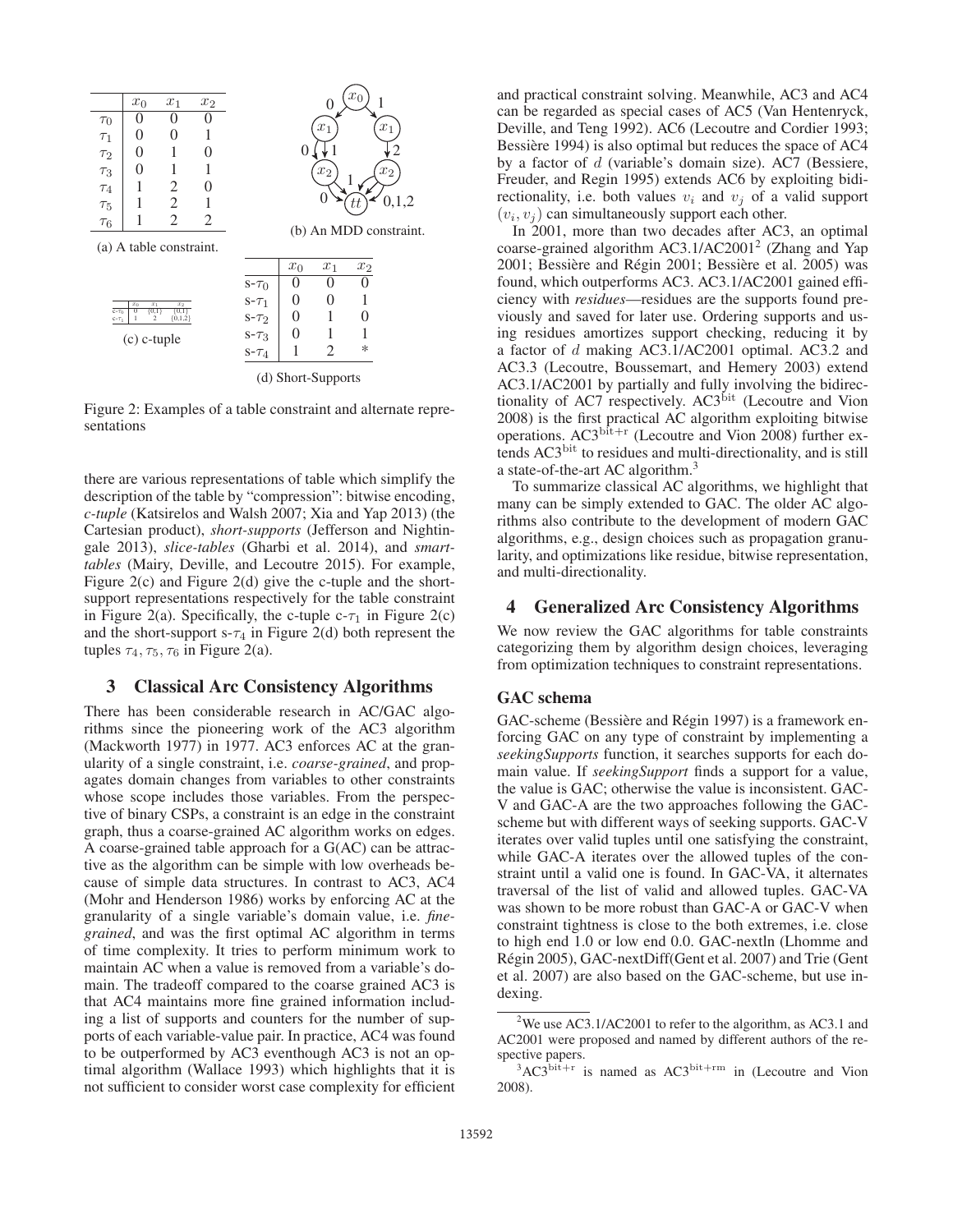

Figure 2: Examples of a table constraint and alternate representations

there are various representations of table which simplify the description of the table by "compression": bitwise encoding, *c-tuple* (Katsirelos and Walsh 2007; Xia and Yap 2013) (the Cartesian product), *short-supports* (Jefferson and Nightingale 2013), *slice-tables* (Gharbi et al. 2014), and *smarttables* (Mairy, Deville, and Lecoutre 2015). For example, Figure 2(c) and Figure 2(d) give the c-tuple and the shortsupport representations respectively for the table constraint in Figure 2(a). Specifically, the c-tuple  $c-\tau_1$  in Figure 2(c) and the short-support  $s-\tau_4$  in Figure 2(d) both represent the tuples  $\tau_4$ ,  $\tau_5$ ,  $\tau_6$  in Figure 2(a).

### 3 Classical Arc Consistency Algorithms

There has been considerable research in AC/GAC algorithms since the pioneering work of the AC3 algorithm (Mackworth 1977) in 1977. AC3 enforces AC at the granularity of a single constraint, i.e. *coarse-grained*, and propagates domain changes from variables to other constraints whose scope includes those variables. From the perspective of binary CSPs, a constraint is an edge in the constraint graph, thus a coarse-grained AC algorithm works on edges. A coarse-grained table approach for a G(AC) can be attractive as the algorithm can be simple with low overheads because of simple data structures. In contrast to AC3, AC4 (Mohr and Henderson 1986) works by enforcing AC at the granularity of a single variable's domain value, i.e. *finegrained*, and was the first optimal AC algorithm in terms of time complexity. It tries to perform minimum work to maintain AC when a value is removed from a variable's domain. The tradeoff compared to the coarse grained AC3 is that AC4 maintains more fine grained information including a list of supports and counters for the number of supports of each variable-value pair. In practice, AC4 was found to be outperformed by AC3 eventhough AC3 is not an optimal algorithm (Wallace 1993) which highlights that it is not sufficient to consider worst case complexity for efficient

and practical constraint solving. Meanwhile, AC3 and AC4 can be regarded as special cases of AC5 (Van Hentenryck, Deville, and Teng 1992). AC6 (Lecoutre and Cordier 1993; Bessière 1994) is also optimal but reduces the space of AC4 by a factor of  $d$  (variable's domain size). AC7 (Bessiere, Freuder, and Regin 1995) extends AC6 by exploiting bidirectionality, i.e. both values  $v_i$  and  $v_j$  of a valid support  $(v_i, v_j)$  can simultaneously support each other.

In 2001, more than two decades after AC3, an optimal coarse-grained algorithm AC3.1/AC2001<sup>2</sup> (Zhang and Yap 2001; Bessière and Régin 2001; Bessière et al. 2005) was found, which outperforms AC3. AC3.1/AC2001 gained efficiency with *residues*—residues are the supports found previously and saved for later use. Ordering supports and using residues amortizes support checking, reducing it by a factor of d making AC3.1/AC2001 optimal. AC3.2 and AC3.3 (Lecoutre, Boussemart, and Hemery 2003) extend AC3.1/AC2001 by partially and fully involving the bidirectionality of AC7 respectively. AC3<sup>bit</sup> (Lecoutre and Vion 2008) is the first practical AC algorithm exploiting bitwise operations.  $AC3^{\text{bit}+r}$  (Lecoutre and Vion 2008) further extends AC3<sup>bit</sup> to residues and multi-directionality, and is still a state-of-the-art AC algorithm.3

To summarize classical AC algorithms, we highlight that many can be simply extended to GAC. The older AC algorithms also contribute to the development of modern GAC algorithms, e.g., design choices such as propagation granularity, and optimizations like residue, bitwise representation, and multi-directionality.

### 4 Generalized Arc Consistency Algorithms

We now review the GAC algorithms for table constraints categorizing them by algorithm design choices, leveraging from optimization techniques to constraint representations.

#### GAC schema

GAC-scheme (Bessière and Régin 1997) is a framework enforcing GAC on any type of constraint by implementing a *seekingSupports* function, it searches supports for each domain value. If *seekingSupport* finds a support for a value, the value is GAC; otherwise the value is inconsistent. GAC-V and GAC-A are the two approaches following the GACscheme but with different ways of seeking supports. GAC-V iterates over valid tuples until one satisfying the constraint, while GAC-A iterates over the allowed tuples of the constraint until a valid one is found. In GAC-VA, it alternates traversal of the list of valid and allowed tuples. GAC-VA was shown to be more robust than GAC-A or GAC-V when constraint tightness is close to the both extremes, i.e. close to high end 1.0 or low end 0.0. GAC-nextln (Lhomme and Régin 2005), GAC-nextDiff(Gent et al. 2007) and Trie (Gent et al. 2007) are also based on the GAC-scheme, but use indexing.

<sup>&</sup>lt;sup>2</sup>We use AC3.1/AC2001 to refer to the algorithm, as AC3.1 and AC2001 were proposed and named by different authors of the respective papers.

 $3AC3^{\text{bit}+r}$  is named as AC3<sup>bit+rm</sup> in (Lecoutre and Vion 2008).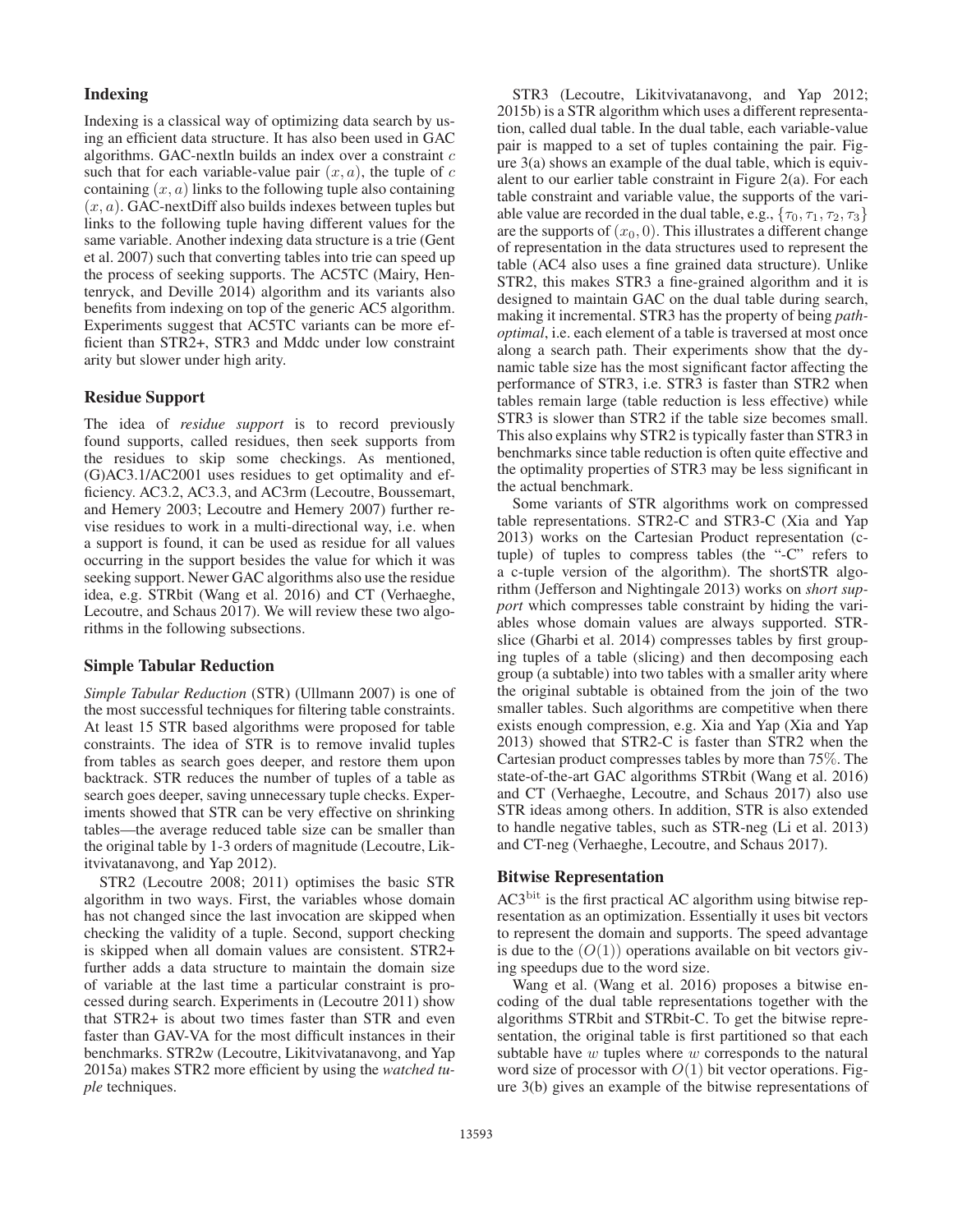#### Indexing

Indexing is a classical way of optimizing data search by using an efficient data structure. It has also been used in GAC algorithms. GAC-nextln builds an index over a constraint  $c$ such that for each variable-value pair  $(x, a)$ , the tuple of c containing  $(x, a)$  links to the following tuple also containing  $(x, a)$ . GAC-nextDiff also builds indexes between tuples but links to the following tuple having different values for the same variable. Another indexing data structure is a trie (Gent et al. 2007) such that converting tables into trie can speed up the process of seeking supports. The AC5TC (Mairy, Hentenryck, and Deville 2014) algorithm and its variants also benefits from indexing on top of the generic AC5 algorithm. Experiments suggest that AC5TC variants can be more efficient than STR2+, STR3 and Mddc under low constraint arity but slower under high arity.

#### Residue Support

The idea of *residue support* is to record previously found supports, called residues, then seek supports from the residues to skip some checkings. As mentioned, (G)AC3.1/AC2001 uses residues to get optimality and efficiency. AC3.2, AC3.3, and AC3rm (Lecoutre, Boussemart, and Hemery 2003; Lecoutre and Hemery 2007) further revise residues to work in a multi-directional way, i.e. when a support is found, it can be used as residue for all values occurring in the support besides the value for which it was seeking support. Newer GAC algorithms also use the residue idea, e.g. STRbit (Wang et al. 2016) and CT (Verhaeghe, Lecoutre, and Schaus 2017). We will review these two algorithms in the following subsections.

### Simple Tabular Reduction

*Simple Tabular Reduction* (STR) (Ullmann 2007) is one of the most successful techniques for filtering table constraints. At least 15 STR based algorithms were proposed for table constraints. The idea of STR is to remove invalid tuples from tables as search goes deeper, and restore them upon backtrack. STR reduces the number of tuples of a table as search goes deeper, saving unnecessary tuple checks. Experiments showed that STR can be very effective on shrinking tables—the average reduced table size can be smaller than the original table by 1-3 orders of magnitude (Lecoutre, Likitvivatanavong, and Yap 2012).

STR2 (Lecoutre 2008; 2011) optimises the basic STR algorithm in two ways. First, the variables whose domain has not changed since the last invocation are skipped when checking the validity of a tuple. Second, support checking is skipped when all domain values are consistent. STR2+ further adds a data structure to maintain the domain size of variable at the last time a particular constraint is processed during search. Experiments in (Lecoutre 2011) show that STR2+ is about two times faster than STR and even faster than GAV-VA for the most difficult instances in their benchmarks. STR2w (Lecoutre, Likitvivatanavong, and Yap 2015a) makes STR2 more efficient by using the *watched tuple* techniques.

STR3 (Lecoutre, Likitvivatanavong, and Yap 2012; 2015b) is a STR algorithm which uses a different representation, called dual table. In the dual table, each variable-value pair is mapped to a set of tuples containing the pair. Figure 3(a) shows an example of the dual table, which is equivalent to our earlier table constraint in Figure 2(a). For each table constraint and variable value, the supports of the variable value are recorded in the dual table, e.g.,  $\{\tau_0, \tau_1, \tau_2, \tau_3\}$ are the supports of  $(x_0, 0)$ . This illustrates a different change of representation in the data structures used to represent the table (AC4 also uses a fine grained data structure). Unlike STR2, this makes STR3 a fine-grained algorithm and it is designed to maintain GAC on the dual table during search, making it incremental. STR3 has the property of being *pathoptimal*, i.e. each element of a table is traversed at most once along a search path. Their experiments show that the dynamic table size has the most significant factor affecting the performance of STR3, i.e. STR3 is faster than STR2 when tables remain large (table reduction is less effective) while STR3 is slower than STR2 if the table size becomes small. This also explains why STR2 is typically faster than STR3 in benchmarks since table reduction is often quite effective and the optimality properties of STR3 may be less significant in the actual benchmark.

Some variants of STR algorithms work on compressed table representations. STR2-C and STR3-C (Xia and Yap 2013) works on the Cartesian Product representation (ctuple) of tuples to compress tables (the "-C" refers to a c-tuple version of the algorithm). The shortSTR algorithm (Jefferson and Nightingale 2013) works on *short support* which compresses table constraint by hiding the variables whose domain values are always supported. STRslice (Gharbi et al. 2014) compresses tables by first grouping tuples of a table (slicing) and then decomposing each group (a subtable) into two tables with a smaller arity where the original subtable is obtained from the join of the two smaller tables. Such algorithms are competitive when there exists enough compression, e.g. Xia and Yap (Xia and Yap 2013) showed that STR2-C is faster than STR2 when the Cartesian product compresses tables by more than 75%. The state-of-the-art GAC algorithms STRbit (Wang et al. 2016) and CT (Verhaeghe, Lecoutre, and Schaus 2017) also use STR ideas among others. In addition, STR is also extended to handle negative tables, such as STR-neg (Li et al. 2013) and CT-neg (Verhaeghe, Lecoutre, and Schaus 2017).

# Bitwise Representation

AC3bit is the first practical AC algorithm using bitwise representation as an optimization. Essentially it uses bit vectors to represent the domain and supports. The speed advantage is due to the  $(O(1))$  operations available on bit vectors giving speedups due to the word size.

Wang et al. (Wang et al. 2016) proposes a bitwise encoding of the dual table representations together with the algorithms STRbit and STRbit-C. To get the bitwise representation, the original table is first partitioned so that each subtable have  $w$  tuples where  $w$  corresponds to the natural word size of processor with  $O(1)$  bit vector operations. Figure 3(b) gives an example of the bitwise representations of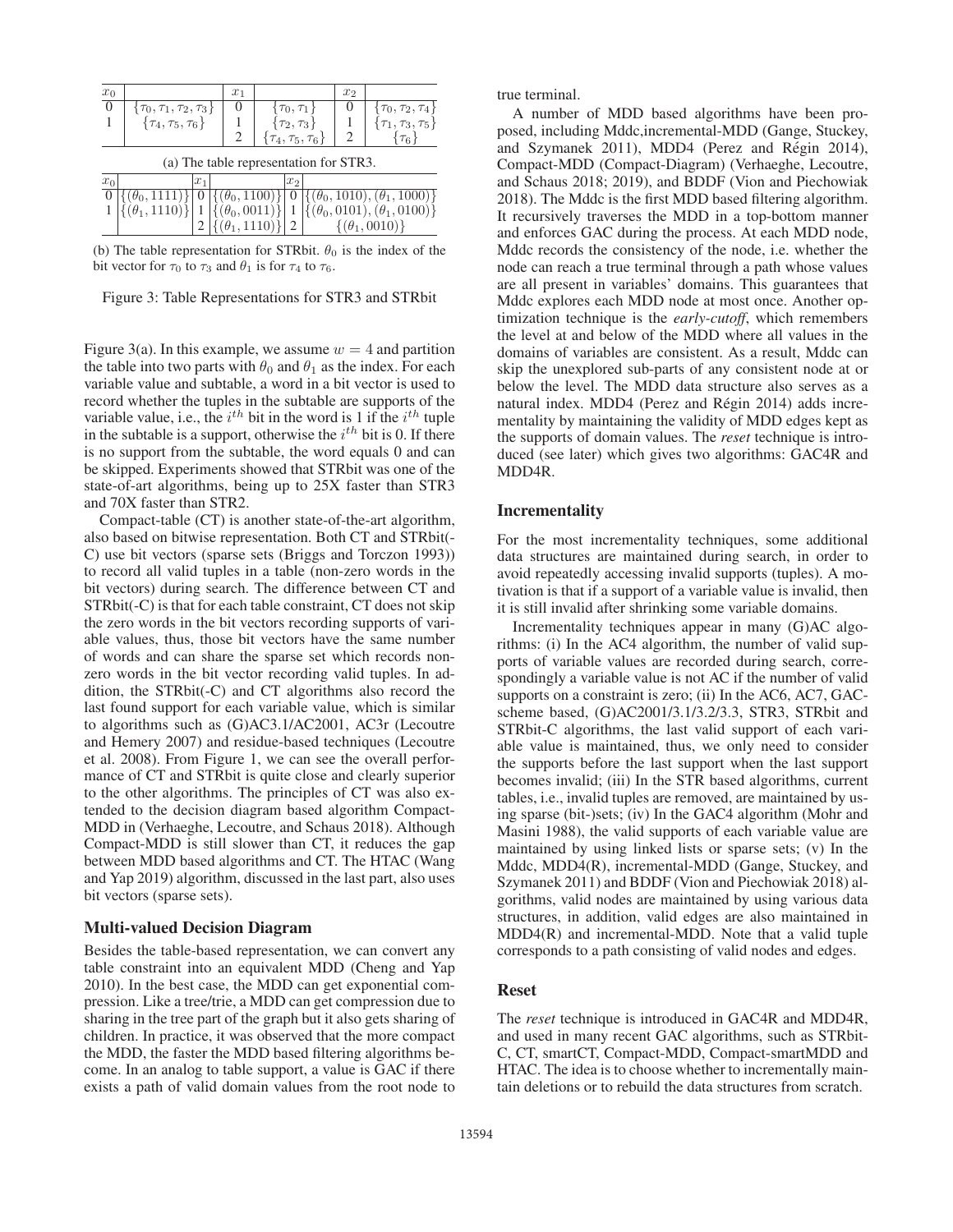|       | $x_1$                        |                                                                      |       |                           | x <sub>2</sub>                                                             |                                                              |
|-------|------------------------------|----------------------------------------------------------------------|-------|---------------------------|----------------------------------------------------------------------------|--------------------------------------------------------------|
|       |                              |                                                                      |       |                           |                                                                            |                                                              |
|       |                              |                                                                      |       |                           |                                                                            | $\{\tau_0, \tau_2, \tau_4\}$<br>$\{\tau_1, \tau_3, \tau_5\}$ |
|       |                              |                                                                      |       |                           |                                                                            | $\tau_{6}$                                                   |
|       |                              |                                                                      |       |                           |                                                                            |                                                              |
| $x_1$ |                              |                                                                      | $x_2$ |                           |                                                                            |                                                              |
|       | $\frac{1}{2}$ ( $\theta_0$ ) |                                                                      |       |                           |                                                                            | $\{(\theta_0, 1010), (\theta_1, 1000)\}\$                    |
|       |                              |                                                                      |       |                           |                                                                            | $\{(\theta_0, 0101), (\theta_1, 0100)\}\$                    |
|       |                              |                                                                      |       |                           |                                                                            |                                                              |
|       | $\{(\theta_1, 1110)\}\$      | $\{\tau_0, \tau_1, \tau_2, \tau_3\}$<br>$\{\tau_4, \tau_5, \tau_6\}$ |       | $ \{(\theta_0, 0011)\}\ $ | $\{\tau_0,\tau_1\}$<br>$\{\tau_2,\tau_3\}$<br>$\{\tau_4, \tau_5, \tau_6\}$ | (a) The table representation for STR3.                       |

(b) The table representation for STRbit.  $\theta_0$  is the index of the bit vector for  $\tau_0$  to  $\tau_3$  and  $\theta_1$  is for  $\tau_4$  to  $\tau_6$ .

| Figure 3: Table Representations for STR3 and STRbit |
|-----------------------------------------------------|
|-----------------------------------------------------|

Figure 3(a). In this example, we assume  $w = 4$  and partition the table into two parts with  $\theta_0$  and  $\theta_1$  as the index. For each variable value and subtable, a word in a bit vector is used to record whether the tuples in the subtable are supports of the variable value, i.e., the  $i^{th}$  bit in the word is 1 if the  $i^{th}$  tuple in the subtable is a support, otherwise the  $i^{th}$  bit is 0. If there is no support from the subtable, the word equals 0 and can be skipped. Experiments showed that STRbit was one of the state-of-art algorithms, being up to 25X faster than STR3 and 70X faster than STR2.

Compact-table (CT) is another state-of-the-art algorithm, also based on bitwise representation. Both CT and STRbit(- C) use bit vectors (sparse sets (Briggs and Torczon 1993)) to record all valid tuples in a table (non-zero words in the bit vectors) during search. The difference between CT and STRbit(-C) is that for each table constraint, CT does not skip the zero words in the bit vectors recording supports of variable values, thus, those bit vectors have the same number of words and can share the sparse set which records nonzero words in the bit vector recording valid tuples. In addition, the STRbit(-C) and CT algorithms also record the last found support for each variable value, which is similar to algorithms such as (G)AC3.1/AC2001, AC3r (Lecoutre and Hemery 2007) and residue-based techniques (Lecoutre et al. 2008). From Figure 1, we can see the overall performance of CT and STRbit is quite close and clearly superior to the other algorithms. The principles of CT was also extended to the decision diagram based algorithm Compact-MDD in (Verhaeghe, Lecoutre, and Schaus 2018). Although Compact-MDD is still slower than CT, it reduces the gap between MDD based algorithms and CT. The HTAC (Wang and Yap 2019) algorithm, discussed in the last part, also uses bit vectors (sparse sets).

#### Multi-valued Decision Diagram

Besides the table-based representation, we can convert any table constraint into an equivalent MDD (Cheng and Yap 2010). In the best case, the MDD can get exponential compression. Like a tree/trie, a MDD can get compression due to sharing in the tree part of the graph but it also gets sharing of children. In practice, it was observed that the more compact the MDD, the faster the MDD based filtering algorithms become. In an analog to table support, a value is GAC if there exists a path of valid domain values from the root node to

true terminal.

A number of MDD based algorithms have been proposed, including Mddc,incremental-MDD (Gange, Stuckey, and Szymanek 2011), MDD4 (Perez and Régin 2014), Compact-MDD (Compact-Diagram) (Verhaeghe, Lecoutre, and Schaus 2018; 2019), and BDDF (Vion and Piechowiak 2018). The Mddc is the first MDD based filtering algorithm. It recursively traverses the MDD in a top-bottom manner and enforces GAC during the process. At each MDD node, Mddc records the consistency of the node, i.e. whether the node can reach a true terminal through a path whose values are all present in variables' domains. This guarantees that Mddc explores each MDD node at most once. Another optimization technique is the *early-cutoff*, which remembers the level at and below of the MDD where all values in the domains of variables are consistent. As a result, Mddc can skip the unexplored sub-parts of any consistent node at or below the level. The MDD data structure also serves as a natural index. MDD4 (Perez and Régin 2014) adds incrementality by maintaining the validity of MDD edges kept as the supports of domain values. The *reset* technique is introduced (see later) which gives two algorithms: GAC4R and MDD4R.

#### Incrementality

For the most incrementality techniques, some additional data structures are maintained during search, in order to avoid repeatedly accessing invalid supports (tuples). A motivation is that if a support of a variable value is invalid, then it is still invalid after shrinking some variable domains.

Incrementality techniques appear in many (G)AC algorithms: (i) In the AC4 algorithm, the number of valid supports of variable values are recorded during search, correspondingly a variable value is not AC if the number of valid supports on a constraint is zero; (ii) In the AC6, AC7, GACscheme based, (G)AC2001/3.1/3.2/3.3, STR3, STRbit and STRbit-C algorithms, the last valid support of each variable value is maintained, thus, we only need to consider the supports before the last support when the last support becomes invalid; (iii) In the STR based algorithms, current tables, i.e., invalid tuples are removed, are maintained by using sparse (bit-)sets; (iv) In the GAC4 algorithm (Mohr and Masini 1988), the valid supports of each variable value are maintained by using linked lists or sparse sets; (v) In the Mddc, MDD4(R), incremental-MDD (Gange, Stuckey, and Szymanek 2011) and BDDF (Vion and Piechowiak 2018) algorithms, valid nodes are maintained by using various data structures, in addition, valid edges are also maintained in MDD4(R) and incremental-MDD. Note that a valid tuple corresponds to a path consisting of valid nodes and edges.

#### Reset

The *reset* technique is introduced in GAC4R and MDD4R, and used in many recent GAC algorithms, such as STRbit-C, CT, smartCT, Compact-MDD, Compact-smartMDD and HTAC. The idea is to choose whether to incrementally maintain deletions or to rebuild the data structures from scratch.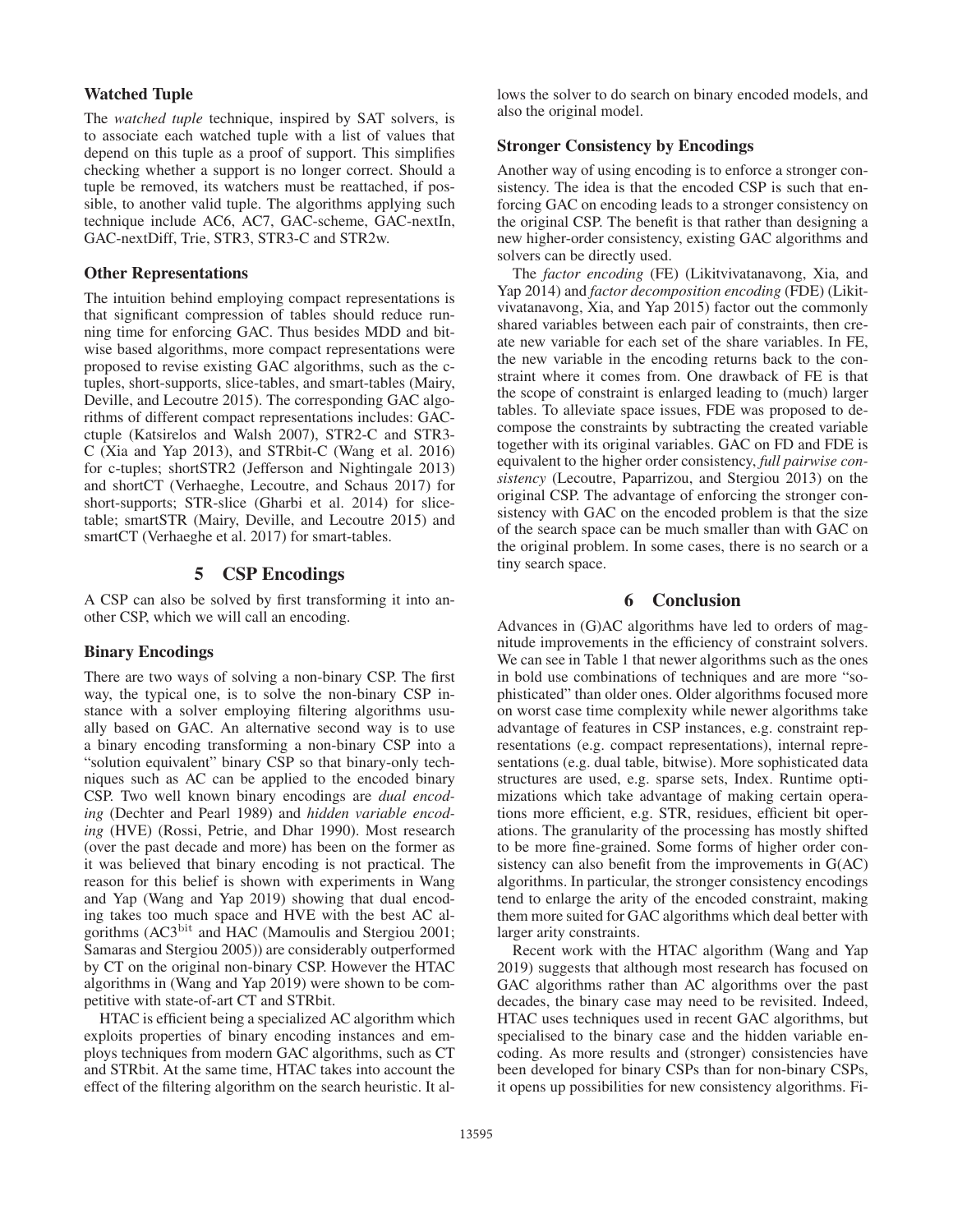# Watched Tuple

The *watched tuple* technique, inspired by SAT solvers, is to associate each watched tuple with a list of values that depend on this tuple as a proof of support. This simplifies checking whether a support is no longer correct. Should a tuple be removed, its watchers must be reattached, if possible, to another valid tuple. The algorithms applying such technique include AC6, AC7, GAC-scheme, GAC-nextIn, GAC-nextDiff, Trie, STR3, STR3-C and STR2w.

#### Other Representations

The intuition behind employing compact representations is that significant compression of tables should reduce running time for enforcing GAC. Thus besides MDD and bitwise based algorithms, more compact representations were proposed to revise existing GAC algorithms, such as the ctuples, short-supports, slice-tables, and smart-tables (Mairy, Deville, and Lecoutre 2015). The corresponding GAC algorithms of different compact representations includes: GACctuple (Katsirelos and Walsh 2007), STR2-C and STR3- C (Xia and Yap 2013), and STRbit-C (Wang et al. 2016) for c-tuples; shortSTR2 (Jefferson and Nightingale 2013) and shortCT (Verhaeghe, Lecoutre, and Schaus 2017) for short-supports; STR-slice (Gharbi et al. 2014) for slicetable; smartSTR (Mairy, Deville, and Lecoutre 2015) and smartCT (Verhaeghe et al. 2017) for smart-tables.

#### 5 CSP Encodings

A CSP can also be solved by first transforming it into another CSP, which we will call an encoding.

#### Binary Encodings

There are two ways of solving a non-binary CSP. The first way, the typical one, is to solve the non-binary CSP instance with a solver employing filtering algorithms usually based on GAC. An alternative second way is to use a binary encoding transforming a non-binary CSP into a "solution equivalent" binary CSP so that binary-only techniques such as AC can be applied to the encoded binary CSP. Two well known binary encodings are *dual encoding* (Dechter and Pearl 1989) and *hidden variable encoding* (HVE) (Rossi, Petrie, and Dhar 1990). Most research (over the past decade and more) has been on the former as it was believed that binary encoding is not practical. The reason for this belief is shown with experiments in Wang and Yap (Wang and Yap 2019) showing that dual encoding takes too much space and HVE with the best AC algorithms (AC3bit and HAC (Mamoulis and Stergiou 2001; Samaras and Stergiou 2005)) are considerably outperformed by CT on the original non-binary CSP. However the HTAC algorithms in (Wang and Yap 2019) were shown to be competitive with state-of-art CT and STRbit.

HTAC is efficient being a specialized AC algorithm which exploits properties of binary encoding instances and employs techniques from modern GAC algorithms, such as CT and STRbit. At the same time, HTAC takes into account the effect of the filtering algorithm on the search heuristic. It allows the solver to do search on binary encoded models, and also the original model.

# Stronger Consistency by Encodings

Another way of using encoding is to enforce a stronger consistency. The idea is that the encoded CSP is such that enforcing GAC on encoding leads to a stronger consistency on the original CSP. The benefit is that rather than designing a new higher-order consistency, existing GAC algorithms and solvers can be directly used.

The *factor encoding* (FE) (Likitvivatanavong, Xia, and Yap 2014) and *factor decomposition encoding* (FDE) (Likitvivatanavong, Xia, and Yap 2015) factor out the commonly shared variables between each pair of constraints, then create new variable for each set of the share variables. In FE, the new variable in the encoding returns back to the constraint where it comes from. One drawback of FE is that the scope of constraint is enlarged leading to (much) larger tables. To alleviate space issues, FDE was proposed to decompose the constraints by subtracting the created variable together with its original variables. GAC on FD and FDE is equivalent to the higher order consistency, *full pairwise consistency* (Lecoutre, Paparrizou, and Stergiou 2013) on the original CSP. The advantage of enforcing the stronger consistency with GAC on the encoded problem is that the size of the search space can be much smaller than with GAC on the original problem. In some cases, there is no search or a tiny search space.

# 6 Conclusion

Advances in (G)AC algorithms have led to orders of magnitude improvements in the efficiency of constraint solvers. We can see in Table 1 that newer algorithms such as the ones in bold use combinations of techniques and are more "sophisticated" than older ones. Older algorithms focused more on worst case time complexity while newer algorithms take advantage of features in CSP instances, e.g. constraint representations (e.g. compact representations), internal representations (e.g. dual table, bitwise). More sophisticated data structures are used, e.g. sparse sets, Index. Runtime optimizations which take advantage of making certain operations more efficient, e.g. STR, residues, efficient bit operations. The granularity of the processing has mostly shifted to be more fine-grained. Some forms of higher order consistency can also benefit from the improvements in G(AC) algorithms. In particular, the stronger consistency encodings tend to enlarge the arity of the encoded constraint, making them more suited for GAC algorithms which deal better with larger arity constraints.

Recent work with the HTAC algorithm (Wang and Yap 2019) suggests that although most research has focused on GAC algorithms rather than AC algorithms over the past decades, the binary case may need to be revisited. Indeed, HTAC uses techniques used in recent GAC algorithms, but specialised to the binary case and the hidden variable encoding. As more results and (stronger) consistencies have been developed for binary CSPs than for non-binary CSPs, it opens up possibilities for new consistency algorithms. Fi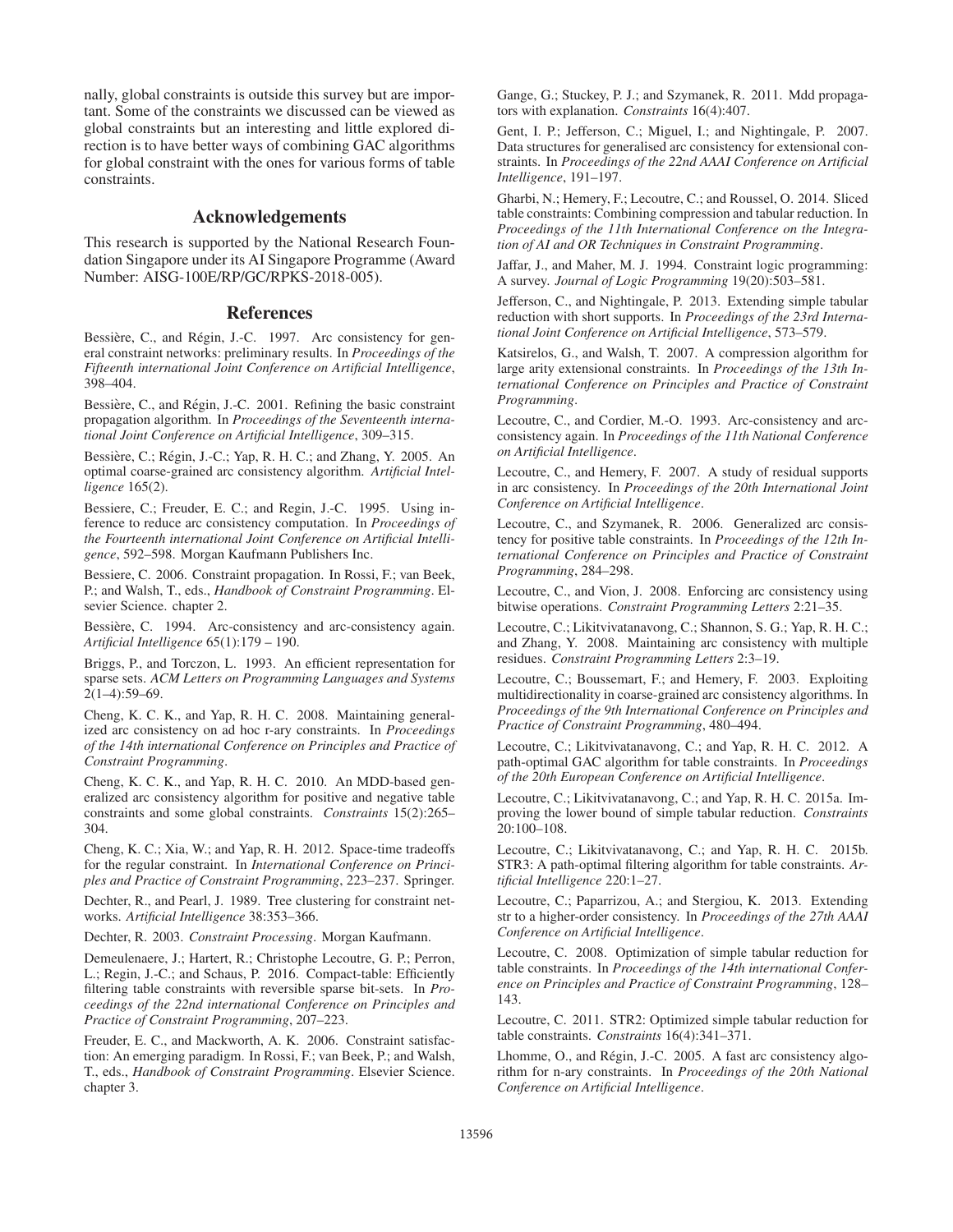nally, global constraints is outside this survey but are important. Some of the constraints we discussed can be viewed as global constraints but an interesting and little explored direction is to have better ways of combining GAC algorithms for global constraint with the ones for various forms of table constraints.

# Acknowledgements

This research is supported by the National Research Foundation Singapore under its AI Singapore Programme (Award Number: AISG-100E/RP/GC/RPKS-2018-005).

#### **References**

Bessière, C., and Régin, J.-C. 1997. Arc consistency for general constraint networks: preliminary results. In *Proceedings of the Fifteenth international Joint Conference on Artificial Intelligence*, 398–404.

Bessière, C., and Régin, J.-C. 2001. Refining the basic constraint propagation algorithm. In *Proceedings of the Seventeenth international Joint Conference on Artificial Intelligence*, 309–315.

Bessière, C.; Régin, J.-C.; Yap, R. H. C.; and Zhang, Y. 2005. An optimal coarse-grained arc consistency algorithm. *Artificial Intelligence* 165(2).

Bessiere, C.; Freuder, E. C.; and Regin, J.-C. 1995. Using inference to reduce arc consistency computation. In *Proceedings of the Fourteenth international Joint Conference on Artificial Intelligence*, 592–598. Morgan Kaufmann Publishers Inc.

Bessiere, C. 2006. Constraint propagation. In Rossi, F.; van Beek, P.; and Walsh, T., eds., *Handbook of Constraint Programming*. Elsevier Science. chapter 2.

Bessière, C. 1994. Arc-consistency and arc-consistency again. *Artificial Intelligence* 65(1):179 – 190.

Briggs, P., and Torczon, L. 1993. An efficient representation for sparse sets. *ACM Letters on Programming Languages and Systems* 2(1–4):59–69.

Cheng, K. C. K., and Yap, R. H. C. 2008. Maintaining generalized arc consistency on ad hoc r-ary constraints. In *Proceedings of the 14th international Conference on Principles and Practice of Constraint Programming*.

Cheng, K. C. K., and Yap, R. H. C. 2010. An MDD-based generalized arc consistency algorithm for positive and negative table constraints and some global constraints. *Constraints* 15(2):265– 304.

Cheng, K. C.; Xia, W.; and Yap, R. H. 2012. Space-time tradeoffs for the regular constraint. In *International Conference on Principles and Practice of Constraint Programming*, 223–237. Springer.

Dechter, R., and Pearl, J. 1989. Tree clustering for constraint networks. *Artificial Intelligence* 38:353–366.

Dechter, R. 2003. *Constraint Processing*. Morgan Kaufmann.

Demeulenaere, J.; Hartert, R.; Christophe Lecoutre, G. P.; Perron, L.; Regin, J.-C.; and Schaus, P. 2016. Compact-table: Efficiently filtering table constraints with reversible sparse bit-sets. In *Proceedings of the 22nd international Conference on Principles and Practice of Constraint Programming*, 207–223.

Freuder, E. C., and Mackworth, A. K. 2006. Constraint satisfaction: An emerging paradigm. In Rossi, F.; van Beek, P.; and Walsh, T., eds., *Handbook of Constraint Programming*. Elsevier Science. chapter 3.

Gange, G.; Stuckey, P. J.; and Szymanek, R. 2011. Mdd propagators with explanation. *Constraints* 16(4):407.

Gent, I. P.; Jefferson, C.; Miguel, I.; and Nightingale, P. 2007. Data structures for generalised arc consistency for extensional constraints. In *Proceedings of the 22nd AAAI Conference on Artificial Intelligence*, 191–197.

Gharbi, N.; Hemery, F.; Lecoutre, C.; and Roussel, O. 2014. Sliced table constraints: Combining compression and tabular reduction. In *Proceedings of the 11th International Conference on the Integration of AI and OR Techniques in Constraint Programming*.

Jaffar, J., and Maher, M. J. 1994. Constraint logic programming: A survey. *Journal of Logic Programming* 19(20):503–581.

Jefferson, C., and Nightingale, P. 2013. Extending simple tabular reduction with short supports. In *Proceedings of the 23rd International Joint Conference on Artificial Intelligence*, 573–579.

Katsirelos, G., and Walsh, T. 2007. A compression algorithm for large arity extensional constraints. In *Proceedings of the 13th International Conference on Principles and Practice of Constraint Programming*.

Lecoutre, C., and Cordier, M.-O. 1993. Arc-consistency and arcconsistency again. In *Proceedings of the 11th National Conference on Artificial Intelligence*.

Lecoutre, C., and Hemery, F. 2007. A study of residual supports in arc consistency. In *Proceedings of the 20th International Joint Conference on Artificial Intelligence*.

Lecoutre, C., and Szymanek, R. 2006. Generalized arc consistency for positive table constraints. In *Proceedings of the 12th International Conference on Principles and Practice of Constraint Programming*, 284–298.

Lecoutre, C., and Vion, J. 2008. Enforcing arc consistency using bitwise operations. *Constraint Programming Letters* 2:21–35.

Lecoutre, C.; Likitvivatanavong, C.; Shannon, S. G.; Yap, R. H. C.; and Zhang, Y. 2008. Maintaining arc consistency with multiple residues. *Constraint Programming Letters* 2:3–19.

Lecoutre, C.; Boussemart, F.; and Hemery, F. 2003. Exploiting multidirectionality in coarse-grained arc consistency algorithms. In *Proceedings of the 9th International Conference on Principles and Practice of Constraint Programming*, 480–494.

Lecoutre, C.; Likitvivatanavong, C.; and Yap, R. H. C. 2012. A path-optimal GAC algorithm for table constraints. In *Proceedings of the 20th European Conference on Artificial Intelligence*.

Lecoutre, C.; Likitvivatanavong, C.; and Yap, R. H. C. 2015a. Improving the lower bound of simple tabular reduction. *Constraints* 20:100–108.

Lecoutre, C.; Likitvivatanavong, C.; and Yap, R. H. C. 2015b. STR3: A path-optimal filtering algorithm for table constraints. *Artificial Intelligence* 220:1–27.

Lecoutre, C.; Paparrizou, A.; and Stergiou, K. 2013. Extending str to a higher-order consistency. In *Proceedings of the 27th AAAI Conference on Artificial Intelligence*.

Lecoutre, C. 2008. Optimization of simple tabular reduction for table constraints. In *Proceedings of the 14th international Conference on Principles and Practice of Constraint Programming*, 128– 143.

Lecoutre, C. 2011. STR2: Optimized simple tabular reduction for table constraints. *Constraints* 16(4):341–371.

Lhomme, O., and Régin, J.-C. 2005. A fast arc consistency algorithm for n-ary constraints. In *Proceedings of the 20th National Conference on Artificial Intelligence*.